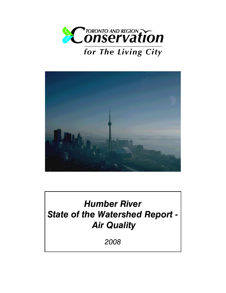



# Humber River State of the Watershed Report - Air Quality

2008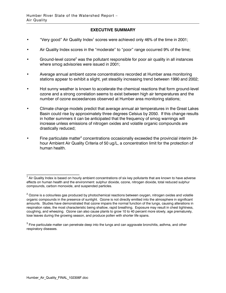#### EXECUTIVE SUMMARY

- "Very good" Air Quality Index<sup>1</sup> scores were achieved only 46% of the time in 2001;
- Air Quality Index scores in the "moderate" to "poor" range occurred 9% of the time;
- Ground-level ozone<sup>2</sup> was the pollutant responsible for poor air quality in all instances where smog advisories were issued in 2001;
- Average annual ambient ozone concentrations recorded at Humber area monitoring stations appear to exhibit a slight, yet steadily increasing trend between 1990 and 2002;
- Hot sunny weather is known to accelerate the chemical reactions that form ground-level ozone and a strong correlation seems to exist between high air temperatures and the number of ozone exceedances observed at Humber area monitoring stations;
- Climate change models predict that average annual air temperatures in the Great Lakes Basin could rise by approximately three degrees Celsius by 2050. If this change results in hotter summers it can be anticipated that the frequency of smog warnings will increase unless emissions of nitrogen oxides and volatile organic compounds are drastically reduced;
- Fine particulate matter<sup>3</sup> concentrations occasionally exceeded the provincial interim 24hour Ambient Air Quality Criteria of 50 ug/L, a concentration limit for the protection of human health.

 $\overline{\phantom{a}}$  , where the contract of the contract of the contract of the contract of the contract of the contract of the contract of the contract of the contract of the contract of the contract of the contract of the contr

<sup>&</sup>lt;sup>1</sup> Air Quality Index is based on hourly ambient concentrations of six key pollutants that are known to have adverse effects on human health and the environment: sulphur dioxide, ozone, nitrogen dioxide, total reduced sulphur compounds, carbon monoxide, and suspended particles.

 $^{\text{2}}$  Ozone is a colourless gas produced by photochemical reactions between oxygen, nitrogen oxides and volatile organic compounds in the presence of sunlight. Ozone is not directly emitted into the atmosphere in significant amounts. Studies have demonstrated that ozone impairs the normal function of the lungs, causing alterations in respiration rates, the most characteristic being shallow, rapid breathing. Exposure may result in chest tightness, coughing, and wheezing. Ozone can also cause plants to grow 10 to 40 percent more slowly, age prematurely, lose leaves during the growing season, and produce pollen with shorter life spans.

 $^{\rm 3}$  Fine particulate matter can penetrate deep into the lungs and can aggravate bronchitis, asthma, and other respiratory diseases.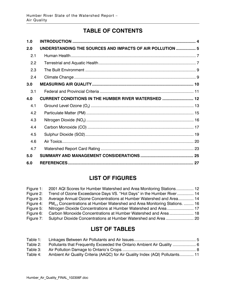# TABLE OF CONTENTS

| 1.0 |                                                             |
|-----|-------------------------------------------------------------|
| 2.0 | UNDERSTANDING THE SOURCES AND IMPACTS OF AIR POLLUTION  5   |
| 2.1 |                                                             |
| 2.2 |                                                             |
| 2.3 |                                                             |
| 2.4 |                                                             |
| 3.0 |                                                             |
| 3.1 |                                                             |
| 4.0 | <b>CURRENT CONDITIONS IN THE HUMBER RIVER WATERSHED  12</b> |
| 4.1 |                                                             |
| 4.2 |                                                             |
| 4.3 |                                                             |
| 4.4 |                                                             |
| 4.5 |                                                             |
| 4.6 |                                                             |
| 4.7 |                                                             |
| 5.0 |                                                             |
| 6.0 |                                                             |

# LIST OF FIGURES

| Figure 1: | 2001 AQI Scores for Humber Watershed and Area Monitoring Stations 12                  |  |
|-----------|---------------------------------------------------------------------------------------|--|
| Figure 2: | Trend of Ozone Exceedance Days VS. "Hot Days" in the Humber River  14                 |  |
| Figure 3: | Average Annual Ozone Concentrations at Humber Watershed and Area 14                   |  |
| Figure 4: | PM <sub>25</sub> Concentrations at Humber Watershed and Area Monitoring Stations.  16 |  |
| Figure 5: | Nitrogen Dioxide Concentrations at Humber Watershed and Area 17                       |  |
| Figure 6: | Carbon Monoxide Concentrations at Humber Watershed and Area 18                        |  |
| Figure 7: |                                                                                       |  |

# LIST OF TABLES

| Table 1: |                                                                               |  |
|----------|-------------------------------------------------------------------------------|--|
| Table 2: | Pollutants that Frequently Exceeded the Ontario Ambient Air Quality           |  |
| Table 3: |                                                                               |  |
| Table 4: | Ambient Air Quality Criteria (AAQC) for Air Quality Index (AQI) Pollutants 11 |  |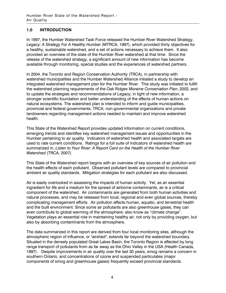# 1.0 INTRODUCTION

In 1997, the Humber Watershed Task Force released the Humber River Watershed Strategy, Legacy: A Strategy For A Healthy Humber (MTRCA, 1997), which provided thirty objectives for a healthy, sustainable watershed, and a set of actions necessary to achieve them. It also provided an overview of the state of the Humber River watershed at that time. Since the release of the watershed strategy, a significant amount of new information has become available through monitoring, special studies and the experiences of watershed partners.

In 2004, the Toronto and Region Conservation Authority (TRCA), in partnership with watershed municipalities and the Humber Watershed Alliance initiated a study to develop an integrated watershed management plan for the Humber River. This study was initiated to fulfill the watershed planning requirements of the Oak Ridges Moraine Conservation Plan, 2002, and to update the strategies and recommendations of Legacy, in light of new information, a stronger scientific foundation and better understanding of the effects of human actions on natural ecosystems. The watershed plan is intended to inform and guide municipalities, provincial and federal governments, TRCA, non-governmental organizations and private landowners regarding management actions needed to maintain and improve watershed health.

This State of the Watershed Report provides updated information on current conditions, emerging trends and identifies key watershed management issues and opportunities in the Humber pertaining to air quality. Indicators of watershed health and associated targets are used to rate current conditions. Ratings for a full suite of indicators of watershed health are summarized in, Listen to Your River: A Report Card on the Health of the Humber River Watershed (TRCA, 2007).

This State of the Watershed report begins with an overview of key sources of air pollution and the health effects of each pollutant. Observed pollutant levels are compared to provincial ambient air quality standards. Mitigation strategies for each pollutant are also discussed.

Air is easily overlooked in assessing the impacts of human activity. Yet, as an essential ingredient for life and a medium for the spread of airborne contaminants, air is a critical component of the watershed. Air contaminants are generated from both human activities and natural processes, and may be released from local, regional and even global sources, thereby complicating management efforts. Air pollution affects human, aquatic, and terrestrial health and the built environment. Since some air pollutants are also greenhouse gases, they can even contribute to global warming of the atmosphere; also know as "climate change". Vegetation plays an essential role in maintaining healthy air, not only by providing oxygen, but also by absorbing contaminants from the atmosphere.

The data summarized in this report are derived from four local monitoring sites, although the atmospheric region of influence, or "airshed", extends far beyond the watershed boundary. Situated in the densely populated Great Lakes Basin, the Toronto Region is affected by long range transport of pollutants from as far away as the Ohio Valley in the USA (Health Canada, 1997). Despite improvements in air quality over the last 30 years, smog remains a concern in southern Ontario, and concentrations of ozone and suspended particulates (major components of smog and greenhouse gases) frequently exceed provincial standards.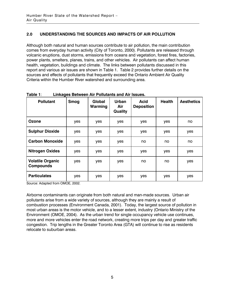# 2.0 UNDERSTANDING THE SOURCES AND IMPACTS OF AIR POLLUTION

Although both natural and human sources contribute to air pollution, the main contribution comes from everyday human activity (City of Toronto, 2000). Pollutants are released through volcanic eruptions, dust storms, emissions from oceans and vegetation, forest fires, factories, power plants, smelters, planes, trains, and other vehicles. Air pollutants can affect human health, vegetation, buildings and climate. The links between pollutants discussed in this report and various air issues are shown in Table 1. Table 2 provides further details on the sources and effects of pollutants that frequently exceed the Ontario Ambient Air Quality Criteria within the Humber River watershed and surrounding area.

| <b>Pollutant</b>                            | <b>Smog</b> | Global<br>Warming | <b>Urban</b><br>Air<br><b>Quality</b> | Acid<br><b>Deposition</b> | <b>Health</b> | <b>Aesthetics</b> |
|---------------------------------------------|-------------|-------------------|---------------------------------------|---------------------------|---------------|-------------------|
| Ozone                                       | yes         | yes               | yes                                   | yes                       | yes           | no                |
| <b>Sulphur Dioxide</b>                      | yes         | yes               | <b>ves</b>                            | yes                       | yes           | yes               |
| <b>Carbon Monoxide</b>                      | yes         | yes               | yes                                   | no                        | no            | no                |
| <b>Nitrogen Oxides</b>                      | yes         | yes               | yes                                   | yes                       | yes           | yes               |
| <b>Volatile Organic</b><br><b>Compounds</b> | yes         | yes               | yes                                   | no                        | no            | yes               |
| <b>Particulates</b>                         | yes         | yes               | yes                                   | yes                       | yes           | yes               |

Table 1: Linkages Between Air Pollutants and Air Issues.

Source: Adapted from OMOE, 2002.

Airborne contaminants can originate from both natural and man-made sources. Urban air pollutants arise from a wide variety of sources, although they are mainly a result of combustion processes (Environment Canada, 2001). Today, the largest source of pollution in most urban areas is the motor vehicle, and to a lesser extent, industry (Ontario Ministry of the Environment (OMOE, 2004). As the urban trend for single occupancy vehicle use continues, more and more vehicles enter the road network, creating more trips per day and greater traffic congestion. Trip lengths in the Greater Toronto Area (GTA) will continue to rise as residents relocate to suburban areas.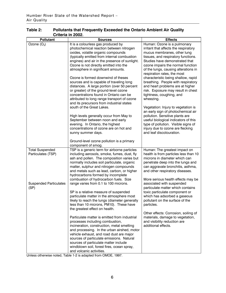| <b>Pollutant</b>              | <b>Sources</b>                                                                 | <b>Effects</b>                                                            |
|-------------------------------|--------------------------------------------------------------------------------|---------------------------------------------------------------------------|
| Ozone $(O_3)$                 | It is a colourless gas produced by                                             | Human: Ozone is a pulmonary                                               |
|                               | photochemical reaction between nitrogen                                        | irritant that affects the respiratory                                     |
|                               | oxides, volatile organic compounds                                             | mucus membranes, other lung                                               |
|                               | (typically emitted from internal combustion                                    | tissues, and respiratory functions.                                       |
|                               | engines) and air in the presence of sunlight.                                  | Studies have demonstrated that                                            |
|                               | Ozone is not directly emitted into the                                         | ozone impairs the normal function                                         |
|                               | atmosphere in significant amounts.                                             | of the lungs, causing alterations in                                      |
|                               |                                                                                | respiration rates, the most                                               |
|                               | Ozone is formed downwind of theses<br>sources and is capable of traveling long | characteristic being shallow, rapid<br>breathing. People with respiratory |
|                               | distances. A large portion (over 50 percent                                    | and heart problems are at higher                                          |
|                               | or greater) of the ground-level ozone                                          | risk. Exposure may result in chest                                        |
|                               | concentrations found in Ontario can be                                         | tightness, coughing, and                                                  |
|                               | attributed to long range transport of ozone                                    | wheezing.                                                                 |
|                               | and its precursors from industrial states                                      |                                                                           |
|                               | south of the Great Lakes.                                                      | Vegetation: Injury to vegetation is                                       |
|                               |                                                                                | an early sign of photochemical air                                        |
|                               | High levels generally occur from May to                                        | pollution. Sensitive plants are                                           |
|                               | September between noon and early                                               | useful biological indicators of this                                      |
|                               | evening. In Ontario, the highest                                               | type of pollution. Visible signs of                                       |
|                               | concentrations of ozone are on hot and                                         | injury due to ozone are flecking                                          |
|                               | sunny summer days.                                                             | and leaf discolouration.                                                  |
|                               | Ground-level ozone pollution is a primary                                      |                                                                           |
|                               | component of smog.                                                             |                                                                           |
| <b>Total Suspended</b>        | TSP is a generic term for airborne particles                                   | Human: The greatest impact on                                             |
| Particulates (TSP)            | including aerosols, smoke, fumes, dust, fly                                    | health is from particles less than 10                                     |
|                               | ash and pollen. The composition varies but                                     | microns in diameter which can                                             |
|                               | normally includes soil particulate, organic                                    | penetrate deep into the lungs and                                         |
|                               | matter, sulphur and nitrogen compounds                                         | can aggravate bronchitis, asthma,                                         |
|                               | and metals such as lead, carbon, or higher                                     | and other respiratory diseases.                                           |
|                               | hydrocarbons formed by incomplete                                              |                                                                           |
| <b>Suspended Particulates</b> | combustion of hydrocarbon fuels. Size<br>range varies from 0.1 to 100 microns. | More serious health effects may be<br>associated with suspended           |
| (SP)                          |                                                                                | particulate matter which contains                                         |
|                               | SP is a relative measure of suspended                                          | toxic particulate component or                                            |
|                               | particulate matter in the atmosphere most                                      | which has adsorbed a gaseous                                              |
|                               | likely to reach the lungs (diameter generally                                  | pollutant on the surface of the                                           |
|                               | less than 10 microns, PM10). These have                                        | particles.                                                                |
|                               | the greatest effect on health.                                                 |                                                                           |
|                               |                                                                                | Other effects: Corrosion, soiling of                                      |
|                               | Particulate matter is emitted from industrial                                  | materials, damage to vegetation,                                          |
|                               | processes including combustion,                                                | and visibility reduction are                                              |
|                               | incineration, construction, metal smelting                                     | additional effects.                                                       |
|                               | and processing. In the urban airshed, motor                                    |                                                                           |
|                               | vehicle exhaust, and road dust are major                                       |                                                                           |
|                               | sources of particulate emissions. Natural                                      |                                                                           |
|                               | sources of particulate matter include                                          |                                                                           |
|                               | windblown soil, forest fires, ocean spray,                                     |                                                                           |
|                               | and volcanic activities.                                                       |                                                                           |

Table 2: Pollutants that Frequently Exceeded the Ontario Ambient Air Quality Criteria in 2002.

Unless otherwise noted, Table 1-2 is adapted from OMOE, 1997.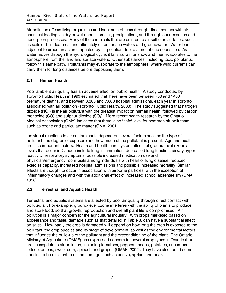Air pollution affects living organisms and inanimate objects through direct contact with air, chemical loading via dry or wet deposition (i.e., precipitation), and through condensation and absorption processes. Many of the chemicals that are emitted to air settle on surfaces, such as soils or built features, and ultimately enter surface waters and groundwater. Water bodies adjacent to urban areas are impacted by air pollution due to atmospheric deposition. As water moves through the hydrological cycle, it falls as rain or snow and then evaporates to the atmosphere from the land and surface waters. Other substances, including toxic pollutants, follow this same path. Pollutants may evaporate to the atmosphere, where wind currents can carry them for long distances before depositing them.

# 2.1 Human Health

Poor ambient air quality has an adverse effect on public health. A study conducted by Toronto Public Health in 1999 estimated that there have been between 730 and 1400 premature deaths, and between 3,300 and 7,600 hospital admissions, each year in Toronto associated with air pollution (Toronto Public Health, 2000). The study suggested that nitrogen dioxide (NO $_{\rm 2}$ ) is the air pollutant with the greatest impact on human health, followed by carbon monoxide (CO) and sulphur dioxide (SO $_{2}$ ). More recent health research by the Ontario Medical Association (OMA) indicates that there is no "safe" level for common air pollutants such as ozone and particulate matter (OMA, 2001).

Individual reactions to air contaminants depend on several factors such as the type of pollutant, the degree of exposure and how much of the pollutant is present. Age and health are also important factors. Health and health-care system effects of ground-level ozone at levels that occur in Canada include lung inflammation, decreased lung function, airway hyperreactivity, respiratory symptoms, possible increased medication use and physician/emergency room visits among individuals with heart or lung disease, reduced exercise capacity, increased hospital admissions and possible increased mortality. Similar effects are thought to occur in association with airborne particles, with the exception of inflammatory changes and with the additional effect of increased school absenteeism (OMA, 1998).

# 2.2 Terrestrial and Aquatic Health

Terrestrial and aquatic systems are affected by poor air quality through direct contact with polluted air. For example, ground-level ozone interferes with the ability of plants to produce and store food, so that growth, reproduction and overall plant life is compromised. Air pollution is a major concern for the agricultural industry. With crops marketed based on appearance and taste, damage such as that detailed in Table 3, can have a substantial affect on sales. How badly the crop is damaged will depend on how long the crop is exposed to the pollutant, the crop species and its stage of development, as well as the environmental factors that influence the build-up of the pollutant and the preconditioning of the plant. The Ontario Ministry of Agriculture (OMAF) has expressed concern for several crop types in Ontario that are susceptible to air pollution, including tomatoes, peppers, beans, potatoes, cucumber, lettuce, onions, sweet corn, spinach and grapes (OMAF, 2002). They have also found some species to be resistant to ozone damage, such as endive, apricot and pear.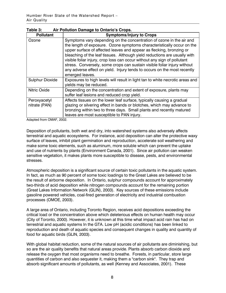| <b>Pollutant</b>              | <b>Symptoms/Injury to Crops</b>                                                                                                                                                                                                                                                                                                                                                                                                                                                                                                                            |  |  |
|-------------------------------|------------------------------------------------------------------------------------------------------------------------------------------------------------------------------------------------------------------------------------------------------------------------------------------------------------------------------------------------------------------------------------------------------------------------------------------------------------------------------------------------------------------------------------------------------------|--|--|
| Ozone                         | Symptoms vary depending on the concentration of ozone in the air and<br>the length of exposure. Ozone symptoms characteristically occur on the<br>upper surface of affected leaves and appear as flecking, bronzing or<br>bleaching of the leaf tissues. Although yield reductions are usually with<br>visible foliar injury, crop loss can occur without any sign of pollutant<br>stress. Conversely, some crops can sustain visible foliar injury without<br>any adverse effect on yield. Injury tends to occurs on the most recently<br>emerged leaves. |  |  |
| <b>Sulphur Dioxide</b>        | Exposures to high levels will result in light tan to white necrotic areas and<br>yields may be reduced.                                                                                                                                                                                                                                                                                                                                                                                                                                                    |  |  |
| <b>Nitric Oxide</b>           | Depending on the concentration and extent of exposure, plants may<br>suffer leaf lesions and reduced crop yield.                                                                                                                                                                                                                                                                                                                                                                                                                                           |  |  |
| Peroxyacetyl<br>nitrate (PAN) | Affects tissues on the lower leaf surface, typically causing a gradual<br>glazing or silvering effect in bands or blotches, which may advance to<br>bronzing within two to three days. Small plants and recently matured<br>leaves are most susceptible to PAN injury.                                                                                                                                                                                                                                                                                     |  |  |

| Table 3: | Air Pollution Damage to Ontario's Crops. |
|----------|------------------------------------------|
|----------|------------------------------------------|

Adapted from OMAF, 2002.

Deposition of pollutants, both wet and dry, into watershed systems also adversely affects terrestrial and aquatic ecosystems. For instance, acid deposition can alter the protective waxy surface of leaves, inhibit plant germination and reproduction, accelerate soil weathering and make some toxic elements, such as aluminum, more soluble which can prevent the uptake and use of nutrients by plants (Environment Canada, 2001). Since air pollution can weaken sensitive vegetation, it makes plants more susceptible to disease, pests, and environmental stresses.

Atmospheric deposition is a significant source of certain toxic pollutants in the aquatic system. In fact, as much as 90 percent of some toxic loadings to the Great Lakes are believed to be the result of airborne deposition. In Ontario, sulphur compounds account for approximately two-thirds of acid deposition while nitrogen compounds account for the remaining portion (Great Lakes Information Network (GLIN), 2003). Key sources of these emissions include gasoline powered vehicles, coal-fired generation of electricity and industrial combustion processes (OMOE, 2003).

A large area of Ontario, including Toronto Region, receives acid depositions exceeding the critical load or the concentration above which deleterious effects on human health may occur (City of Toronto, 2000). However, it is unknown at this time what impact acid rain has had on terrestrial and aquatic systems In the GTA. Low pH (acidic conditions) has been linked to reproduction and death of aquatic species and consequent changes in quality and quantity of food for aquatic birds (GLIN, 2003).

With global habitat reduction, some of the natural sources of air pollutants are diminishing, but so are the air quality benefits that natural areas provide. Plants absorb carbon dioxide and release the oxygen that most organisms need to breathe. Forests, in particular, store large quantities of carbon and also sequester it, making them a "carbon sink". They trap and absorb significant amounts of pollutants, as well (Kenney and Associates, 2001). These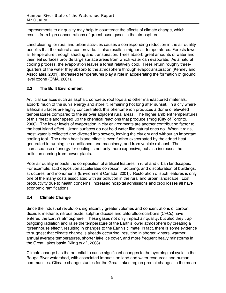improvements to air quality may help to counteract the effects of climate change, which results from high concentrations of greenhouse gases in the atmosphere.

Land clearing for rural and urban activities causes a corresponding reduction in the air quality benefits that the natural areas provide. It also results in higher air temperatures. Forests lower air temperature through shading and transpiration. Trees absorb great amounts of water and their leaf surfaces provide large surface areas from which water can evaporate. As a natural cooling process, the evaporation leaves a forest relatively cool. Trees return roughly threequarters of the water they absorb to the atmosphere through evapotranspiration (Kenney and Associates, 2001). Increased temperatures play a role in accelerating the formation of ground level ozone (OMA, 2001).

# 2.3 The Built Environment

Artificial surfaces such as asphalt, concrete, roof tops and other manufactured materials, absorb much of the sun's energy and store it, remaining hot long after sunset. In a city where artificial surfaces are highly concentrated, this phenomenon produces a dome of elevated temperatures compared to the air over adjacent rural areas. The higher ambient temperatures of this "heat island" speed up the chemical reactions that produce smog (City of Toronto, 2000). The lower levels of evaporation in city environments are another contributing factor to the heat island effect. Urban surfaces do not hold water like natural ones do. When it rains, most water is collected and diverted into sewers, leaving the city dry and without an important cooling tool. The urban heat island effect is even further exacerbated by the added heat generated in running air conditioners and machinery, and from vehicle exhaust. The increased use of energy for cooling is not only more expensive, but also increases the pollution coming from power plants.

Poor air quality impacts the composition of artificial features in rural and urban landscapes. For example, acid deposition accelerates corrosion, fracturing, and discoloration of buildings, structures, and monuments (Environment Canada, 2001). Restoration of such features is only one of the many costs associated with air pollution in the rural and urban landscape. Lost productivity due to health concerns, increased hospital admissions and crop losses all have economic ramifications.

# 2.4 Climate Change

Since the industrial revolution, significantly greater volumes and concentrations of carbon dioxide, methane, nitrous oxide, sulphur dioxide and chlorofluorocarbons (CFCs) have entered the Earth's atmosphere. These gases not only impact air quality, but also they trap outgoing radiation and raise the temperature of the Earth's lower atmosphere by creating a "greenhouse effect", resulting in changes to the Earth's climate. In fact, there is some evidence to suggest that climate change is already occurring, resulting in shorter winters, warmer annual average temperatures, shorter lake ice cover, and more frequent heavy rainstorms in the Great Lakes basin (Kling et al., 2003).

Climate change has the potential to cause significant changes to the hydrological cycle in the Rouge River watershed, with associated impacts on land and water resources and human communities. Climate change studies for the Great Lakes region predict changes in the mean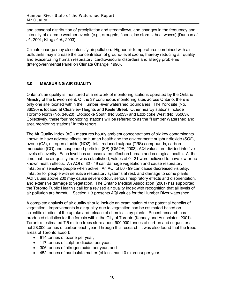and seasonal distribution of precipitation and streamflows, and changes in the frequency and intensity of extreme weather events (e.g., droughts, floods, ice storms, heat waves) (Duncan et al., 2001; Kling et al., 2003).

Climate change may also intensify air pollution. Higher air temperatures combined with air pollutants may increase the concentration of ground-level ozone, thereby reducing air quality and exacerbating human respiratory, cardiovascular disorders and allergy problems (Intergovernmental Panel on Climate Change, 1996).

# 3.0 MEASURING AIR QUALITY

Ontario's air quality is monitored at a network of monitoring stations operated by the Ontario Ministry of the Environment. Of the 37 continuous monitoring sites across Ontario, there is only one site located within the Humber River watershed boundaries. The York site (No. 36030) is located at Clearview Heights and Keele Street. Other nearby stations include Toronto North (No. 34020), Etobicoke South (No.35033) and Etobicoke West (No. 35003). Collectively, these four monitoring stations will be referred to as the "Humber Watershed and area monitoring stations" in this report.

The Air Quality Index (AQI) measures hourly ambient concentrations of six key contaminants known to have adverse effects on human health and the environment: sulphur dioxide (SO2), ozone (O3), nitrogen dioxide (NO2), total reduced sulphur (TRS) compounds, carbon monoxide (CO) and suspended particles (SP) (OMOE, 2003). AQI values are divided into five levels of severity. Each level has an associated effect on human and ecological health. At the time that the air quality index was established, values of 0 - 31 were believed to have few or no known health effects. An AQI of 32 - 49 can damage vegetation and cause respiratory irritation in sensitive people when active. An AQI of 50 - 99 can cause decreased visibility, irritation for people with sensitive respiratory systems at rest, and damage to some plants. AQI values above 200 may cause severe odour, serious respiratory effects and disorientation, and extensive damage to vegetation. The Ontario Medical Association (2001) has supported the Toronto Public Health's call for a revised air quality index with recognition that all levels of air pollution are harmful. Section 1.3 presents AQI values for the Humber River watershed.

A complete analysis of air quality should include an examination of the potential benefits of vegetation. Improvements in air quality due to vegetation can be estimated based on scientific studies of the uptake and release of chemicals by plants. Recent research has produced statistics for the forests within the City of Toronto (Kenney and Associates, 2001). Toronto's estimated 7.5 million trees store about 900,000 tonnes of carbon and sequester a net 28,000 tonnes of carbon each year. Through this research, it was also found that the treed areas of Toronto absorb:

- 614 tonnes of ozone per year,
- 117 tonnes of sulphur dioxide per year,
- 306 tonnes of nitrogen oxide per year, and
- 452 tonnes of particulate matter (of less than 10 microns) per year.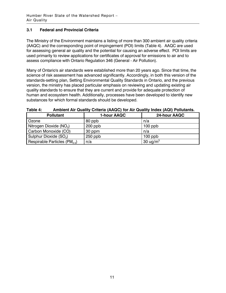# 3.1 Federal and Provincial Criteria

The Ministry of the Environment maintains a listing of more than 300 ambient air quality criteria (AAQC) and the corresponding point of impingement (POI) limits (Table 4). AAQC are used for assessing general air quality and the potential for causing an adverse effect. POI limits are used primarily to review applications for certificates of approval for emissions to air and to assess compliance with Ontario Regulation 346 (General - Air Pollution).

Many of Ontario's air standards were established more than 20 years ago. Since that time, the science of risk assessment has advanced significantly. Accordingly, in both this version of the standards-setting plan, Setting Environmental Quality Standards in Ontario, and the previous version, the ministry has placed particular emphasis on reviewing and updating existing air quality standards to ensure that they are current and provide for adequate protection of human and ecosystem health. Additionally, processes have been developed to identify new substances for which formal standards should be developed.

| <b>Pollutant</b>                    | 1-hour AAQC | 24-hour AAQC |
|-------------------------------------|-------------|--------------|
| Ozone                               | 80 ppb      | n/a          |
| Nitrogen Dioxide (NO <sub>2</sub> ) | $200$ ppb   | $100$ ppb    |
| Carbon Monoxide (CO)                | 30 ppm      | n/a          |
| Sulphur Dioxide (SO <sub>2</sub> )  | $250$ ppb   | $100$ ppb    |
| Respirable Particles $(PM_{2.5})$   | n/a         | 30 ug/ $m3$  |

| Table 4: | Ambient Air Quality Criteria (AAQC) for Air Quality Index (AQI) Pollutants. |  |
|----------|-----------------------------------------------------------------------------|--|
|----------|-----------------------------------------------------------------------------|--|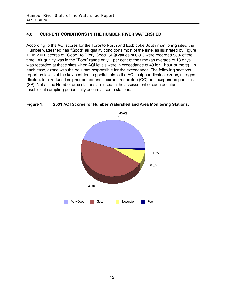# 4.0 CURRENT CONDITIONS IN THE HUMBER RIVER WATERSHED

According to the AQI scores for the Toronto North and Etobicoke South monitoring sites, the Humber watershed has "Good" air quality conditions most of the time, as illustrated by Figure 1. In 2001, scores of "Good" to "Very Good" (AQI values of 0-31) were recorded 93% of the time. Air quality was in the "Poor" range only 1 per cent of the time (an average of 13 days was recorded at these sites when AQI levels were in exceedance of 49 for 1 hour or more). In each case, ozone was the pollutant responsible for the exceedance. The following sections report on levels of the key contributing pollutants to the AQI: sulphur dioxide, ozone, nitrogen dioxide, total reduced sulphur compounds, carbon monoxide (CO) and suspended particles (SP). Not all the Humber area stations are used in the assessment of each pollutant. Insufficient sampling periodically occurs at some stations.



#### Figure 1: 2001 AQI Scores for Humber Watershed and Area Monitoring Stations.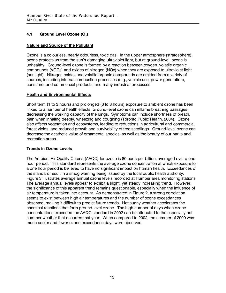# 4.1 Ground Level Ozone  $(O_3)$

#### Nature and Source of the Pollutant

Ozone is a colourless, nearly odourless, toxic gas. In the upper atmosphere (stratosphere), ozone protects us from the sun's damaging ultraviolet light, but at ground-level, ozone is unhealthy. Ground-level ozone is formed by a reaction between oxygen, volatile organic compounds (VOCs) and oxides of nitrogen (NOx) when they are exposed to ultraviolet light (sunlight). Nitrogen oxides and volatile organic compounds are emitted from a variety of sources, including internal combustion processes (e.g., vehicle use, power generation), consumer and commercial products, and many industrial processes.

#### Health and Environmental Effects

Short term (1 to 3 hours) and prolonged (6 to 8 hours) exposure to ambient ozone has been linked to a number of health effects. Ground-level ozone can inflame breathing passages, decreasing the working capacity of the lungs. Symptoms can include shortness of breath, pain when inhaling deeply, wheezing and coughing (Toronto Public Health, 2004). Ozone also affects vegetation and ecosystems, leading to reductions in agricultural and commercial forest yields, and reduced growth and survivability of tree seedlings. Ground-level ozone can decrease the aesthetic value of ornamental species, as well as the beauty of our parks and recreation areas.

# Trends in Ozone Levels

The Ambient Air Quality Criteria (AAQC) for ozone is 80 parts per billion, averaged over a one hour period. This standard represents the average ozone concentration at which exposure for a one hour period is believed to have no significant impact on human health. Exceedances of the standard result in a smog warning being issued by the local public health authority. Figure 3 illustrates average annual ozone levels recorded at Humber area monitoring stations. The average annual levels appear to exhibit a slight, yet steady increasing trend. However, the significance of this apparent trend remains questionable, especially when the influence of air temperature is taken into account. As demonstrated in Figure 2, a strong correlation seems to exist between high air temperatures and the number of ozone exceedances observed, making it difficult to predict future trends. Hot sunny weather accelerates the chemical reactions that form ground-level ozone. The high number of days when ozone concentrations exceeded the AAQC standard in 2002 can be attributed to the especially hot summer weather that occurred that year. When compared to 2002, the summer of 2000 was much cooler and fewer ozone exceedance days were observed.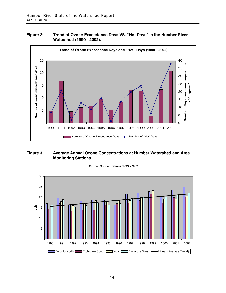#### Figure 2: Trend of Ozone Exceedance Days VS. "Hot Days" in the Humber River Watershed (1990 - 2002).



#### Figure 3: Average Annual Ozone Concentrations at Humber Watershed and Area Monitoring Stations.

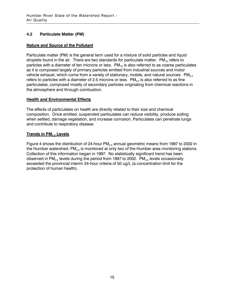# 4.2 Particulate Matter (PM)

# Nature and Source of the Pollutant

Particulate matter (PM) is the general term used for a mixture of solid particles and liquid droplets found in the air. There are two standards for particulate matter.  $PM_{10}$  refers to particles with a diameter of ten microns or less.  $PM_{10}$  is also referred to as coarse particulates as it is composed largely of primary particles emitted from industrial sources and motor vehicle exhaust, which come from a variety of stationary, mobile, and natural sources.  $PM_{2.5}$ refers to particles with a diameter of 2.5 microns or less.  $PM_{2.5}$  is also referred to as fine particulates, composed mostly of secondary particles originating from chemical reactions in the atmosphere and through combustion.

# **Health and Environmental Effects**

The effects of particulates on health are directly related to their size and chemical composition. Once emitted, suspended particulates can reduce visibility, produce soiling when settled, damage vegetation, and increase corrosion. Particulates can penetrate lungs and contribute to respiratory disease.

# Trends in PM<sub>2.5</sub> Levels

Figure 4 shows the distribution of 24-hour  $PM<sub>2.5</sub>$  annual geometric means from 1997 to 2002 in the Humber watershed. PM<sub>2.5</sub> is monitored at only two of the Humber area monitoring stations. Collection of this information began in 1997. No statistically significant trend has been observed in  $PM_{2.5}$  levels during the period from 1997 to 2002.  $PM_{2.5}$  levels occasionally exceeded the provincial interim 24-hour criteria of 50 ug/L (a concentration limit for the protection of human health).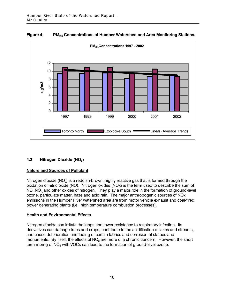![](_page_15_Figure_1.jpeg)

Figure 4: PM<sub>2.5</sub> Concentrations at Humber Watershed and Area Monitoring Stations.

# 4.3 Nitrogen Dioxide (NO<sub>2</sub>)

#### Nature and Sources of Pollutant

Nitrogen dioxide (NO $_{\rm 2}$ ) is a reddish-brown, highly reactive gas that is formed through the oxidation of nitric oxide (NO). Nitrogen oxides (NOx) is the term used to describe the sum of NO, NO<sub>2</sub> and other oxides of nitrogen. They play a major role in the formation of ground-level ozone, particulate matter, haze and acid rain. The major anthropogenic sources of NOx emissions in the Humber River watershed area are from motor vehicle exhaust and coal-fired power generating plants (i.e., high temperature combustion processes).

# Health and Environmental Effects

Nitrogen dioxide can irritate the lungs and lower resistance to respiratory infection. Its derivatives can damage trees and crops, contribute to the acidification of lakes and streams, and cause deterioration and fading of certain fabrics and corrosion of statues and monuments. By itself, the effects of NO $_2$  are more of a chronic concern. However, the short term mixing of NO $_{\tiny 2}$  with VOCs can lead to the formation of ground-level ozone.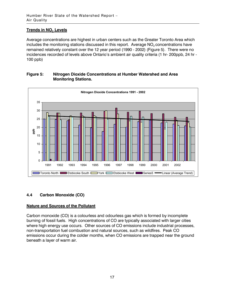# <u>Trends in NO<sub>2</sub> Levels</u>

Average concentrations are highest in urban centers such as the Greater Toronto Area which includes the monitoring stations discussed in this report. Average NO<sub>2</sub> concentrations have remained relatively constant over the 12 year period (1990 - 2002) (Figure 5). There were no incidences recorded of levels above Ontario's ambient air quality criteria (1 hr- 200ppb, 24 hr - 100 ppb)

![](_page_16_Figure_3.jpeg)

#### Figure 5: Nitrogen Dioxide Concentrations at Humber Watershed and Area Monitoring Stations.

# 4.4 Carbon Monoxide (CO)

# Nature and Sources of the Pollutant

Carbon monoxide (CO) is a colourless and odourless gas which is formed by incomplete burning of fossil fuels. High concentrations of CO are typically associated with larger cities where high energy use occurs. Other sources of CO emissions include industrial processes, non-transportation fuel combustion and natural sources, such as wildfires. Peak CO emissions occur during the colder months, when CO emissions are trapped near the ground beneath a layer of warm air.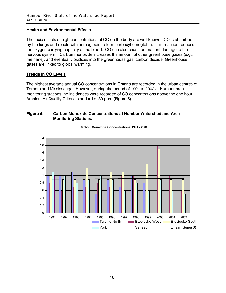# Health and Environmental Effects

The toxic effects of high concentrations of CO on the body are well known. CO is absorbed by the lungs and reacts with hemoglobin to form carboxyhemoglobin. This reaction reduces the oxygen carrying capacity of the blood. CO can also cause permanent damage to the nervous system. Carbon monoxide increases the amount of other greenhouse gases (e.g., methane), and eventually oxidizes into the greenhouse gas, carbon dioxide. Greenhouse gases are linked to global warming.

#### Trends in CO Levels

The highest average annual CO concentrations in Ontario are recorded in the urban centres of Toronto and Mississauga. However, during the period of 1991 to 2002 at Humber area monitoring stations, no incidences were recorded of CO concentrations above the one hour Ambient Air Quality Criteria standard of 30 ppm (Figure 6).

#### Figure 6: Carbon Monoxide Concentrations at Humber Watershed and Area Monitoring Stations.

![](_page_17_Figure_6.jpeg)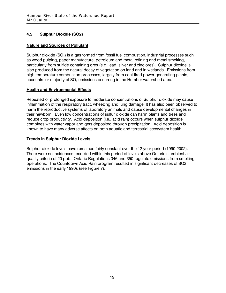# 4.5 Sulphur Dioxide (SO2)

#### Nature and Sources of Pollutant

Sulphur dioxide (SO $_{\rm 2}$ ) is a gas formed from fossil fuel combustion, industrial processes such as wood pulping, paper manufacture, petroleum and metal refining and metal smelting, particularly from sulfide containing ores (e.g. lead, silver and zinc ores). Sulphur dioxide is also produced from the natural decay of vegetation on land and in wetlands. Emissions from high temperature combustion processes, largely from coal-fired power generating plants, accounts for majority of SO $_{\tiny 2}$  emissions occurring in the Humber watershed area.

# Health and Environmental Effects

Repeated or prolonged exposure to moderate concentrations of Sulphur dioxide may cause inflammation of the respiratory tract, wheezing and lung damage. It has also been observed to harm the reproductive systems of laboratory animals and cause developmental changes in their newborn. Even low concentrations of sulfur dioxide can harm plants and trees and reduce crop productivity. Acid deposition (i.e., acid rain) occurs when sulphur dioxide combines with water vapor and gets deposited through precipitation. Acid deposition is known to have many adverse affects on both aquatic and terrestrial ecosystem health.

#### Trends in Sulphur Dioxide Levels

Sulphur dioxide levels have remained fairly constant over the 12 year period (1990-2002). There were no incidences recorded within this period of levels above Ontario's ambient air quality criteria of 20 ppb. Ontario Regulations 346 and 350 regulate emissions from smelting operations. The Countdown Acid Rain program resulted in significant decreases of SO2 emissions in the early 1990s (see Figure 7).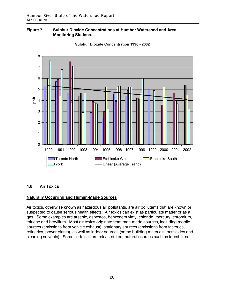![](_page_19_Figure_1.jpeg)

![](_page_19_Figure_2.jpeg)

#### 4.6 Air Toxics

#### Naturally Occurring and Human-Made Sources

Air toxics, otherwise known as hazardous air pollutants, are air pollutants that are known or suspected to cause serious health effects. Air toxics can exist as particulate matter or as a gas. Some examples are arsenic, asbestos, benzenem vimyl chloride, mercury, chromium, toluene and beryllium. Most air toxics originate from man-made sources, including mobile sources (emissions from vehicle exhaust), stationary sources (emissions from factories, refineries, power plants), as well as indoor sources (some building materials, pesticides and cleaning solvents). Some air toxics are released from natural sources such as forest fires.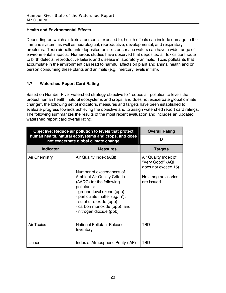#### Health and Environmental Effects

Depending on which air toxic a person is exposed to, health effects can include damage to the immune system, as well as neurological, reproductive, developmental, and respiratory problems. Toxic air pollutants deposited on soils or surface waters can have a wide range of environmental impacts. Numerous studies have observed that deposited air toxics contribute to birth defects, reproductive failure, and disease in laboratory animals. Toxic pollutants that accumulate in the environment can lead to harmful affects on plant and animal health and on person consuming these plants and animals (e.g., mercury levels in fish).

# 4.7 Watershed Report Card Rating

Based on Humber River watershed strategy objective to "reduce air pollution to levels that protect human health, natural ecosystems and crops, and does not exacerbate global climate change", the following set of indicators, measures and targets have been established to evaluate progress towards achieving the objective and to assign watershed report card ratings. The following summarizes the results of the most recent evaluation and includes an updated watershed report card overall rating.

| Objective: Reduce air pollution to levels that protect                                       | <b>Overall Rating</b>                                                                                                                                                                                                                                                                              |                                                                                                     |
|----------------------------------------------------------------------------------------------|----------------------------------------------------------------------------------------------------------------------------------------------------------------------------------------------------------------------------------------------------------------------------------------------------|-----------------------------------------------------------------------------------------------------|
| human health, natural ecosystems and crops, and does<br>not exacerbate global climate change | D                                                                                                                                                                                                                                                                                                  |                                                                                                     |
| <b>Indicator</b>                                                                             | <b>Measures</b>                                                                                                                                                                                                                                                                                    | <b>Targets</b>                                                                                      |
| Air Chemistry                                                                                | Air Quality Index (AQI)<br>Number of exceedances of<br><b>Ambient Air Quality Criteria</b><br>(AAQC) for the following<br>pollutants:<br>- ground-level ozone (ppb);<br>- particulate matter $(uq/m^3)$ ;<br>- sulphur dioxide (ppb);<br>- carbon monoxide (ppb); and,<br>- nitrogen dioxide (ppb) | Air Quality Index of<br>"Very Good" (AQI<br>does not exceed 15)<br>No smog advisories<br>are issued |
| <b>Air Toxics</b>                                                                            | National Pollutant Release<br>Inventory                                                                                                                                                                                                                                                            | <b>TBD</b>                                                                                          |
| Lichen                                                                                       | Index of Atmospheric Purity (IAP)                                                                                                                                                                                                                                                                  | TBD                                                                                                 |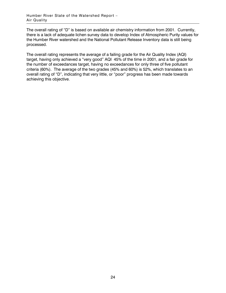The overall rating of "D" is based on available air chemistry information from 2001. Currently, there is a lack of adequate lichen survey data to develop Index of Atmospheric Purity values for the Humber River watershed and the National Pollutant Release Inventory data is still being processed.

The overall rating represents the average of a failing grade for the Air Quality Index (AQI) target, having only achieved a "very good" AQI 45% of the time in 2001, and a fair grade for the number of exceedances target, having no exceedances for only three of five pollutant criteria (60%). The average of the two grades (45% and 60%) is 52%, which translates to an overall rating of "D", indicating that very little, or "poor" progress has been made towards achieving this objective.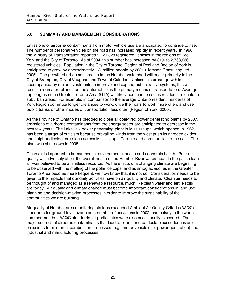# 5.0 SUMMARY AND MANAGEMENT CONSIDERATIONS

Emissions of airborne contaminants from motor vehicle use are anticipated to continue to rise. The number of personal vehicles on the road has increased rapidly in recent years. In 1998, the Ministry of Transportation reported 2,121,328 registered vehicles in the regions of Peel, York and the City of Toronto. As of 2004, this number has increased by 31% to 2,768,636 registered vehicles. Population in the City of Toronto, Region of Peel and Region of York is anticipated to grow by approximately 1.8 million people by 2031 (Hemson Consulting Ltd., 2005). The growth of urban settlements in the Humber watershed will occur primarily in the City of Brampton, City of Vaughan and Town of Caledon. Unless this urban growth is accompanied by major investments to improve and expand public transit systems, this will result in a greater reliance on the automobile as the primary means of transportation. Average trip lengths in the Greater Toronto Area (GTA) will likely continue to rise as residents relocate to suburban areas. For example, in comparison to the average Ontario resident, residents of York Region commute longer distances to work, drive their cars to work more often, and use public transit or other modes of transportation less often (Region of York, 2000).

As the Province of Ontario has pledged to close all coal-fired power generating plants by 2007, emissions of airborne contaminants from the energy sector are anticipated to decrease in the next few years. The Lakeview power generating plant in Mississauga, which opened in 1962, has been a target of criticism because prevailing winds from the west push its nitrogen oxides and sulphur dioxide emissions across Mississauga, Toronto and communities to the east. The plant was shut down in 2005.

Clean air is important to human health, environmental health and economic health. Poor air quality will adversely affect the overall health of the Humber River watershed. In the past, clean air was believed to be a limitless resource. As the effects of a changing climate are beginning to be observed with the melting of the polar ice caps, and as smog advisories in the Greater Toronto Area become more frequent, we now know that it is not so. Consideration needs to be given to the impacts that our daily activities have on air quality and climate. Clean air needs to be thought of and managed as a renewable resource, much like clean water and fertile soils are today. Air quality and climate change must become important considerations in land use planning and decision-making processes in order to improve the sustainability of the communities we are building.

Air quality at Humber area monitoring stations exceeded Ambient Air Quality Criteria (AAQC) standards for ground-level ozone on a number of occasions in 2002, particularly in the warm summer months. AAQC standards for particulates were also occasionally exceeded. The major sources of airborne contaminants that lead to ozone and particulate exceedances are emissions from internal combustion processes (e.g., motor vehicle use, power generation) and industrial and manufacturing processes.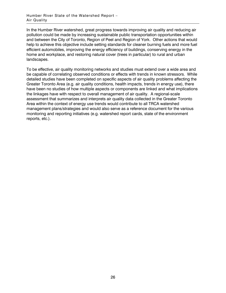In the Humber River watershed, great progress towards improving air quality and reducing air pollution could be made by increasing sustainable public transportation opportunities within and between the City of Toronto, Region of Peel and Region of York. Other actions that would help to achieve this objective include setting standards for cleaner burning fuels and more fuel efficient automobiles, improving the energy efficiency of buildings, conserving energy in the home and workplace, and restoring natural cover (trees in particular) to rural and urban landscapes.

To be effective, air quality monitoring networks and studies must extend over a wide area and be capable of correlating observed conditions or effects with trends in known stressors. While detailed studies have been completed on specific aspects of air quality problems affecting the Greater Toronto Area (e.g. air quality conditions, health impacts, trends in energy use), there have been no studies of how multiple aspects or components are linked and what implications the linkages have with respect to overall management of air quality. A regional-scale assessment that summarizes and interprets air quality data collected in the Greater Toronto Area within the context of energy use trends would contribute to all TRCA watershed management plans/strategies and would also serve as a reference document for the various monitoring and reporting initiatives (e.g. watershed report cards, state of the environment reports, etc.).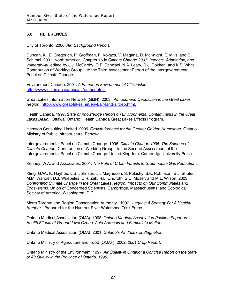#### 6.0 REFERENCES

City of Toronto. 2000. Air: Background Report.

Duncan, K., E. Gregorich, P. Groffman, P. Kovacs, V. Magana, D. McKnight, E. Mills, and D. Schimel. 2001. North America. Chapter 15 in Climate Change 2001: Impacts, Adaptation, and Vulnerability, edited by J.J. McCarthy, O.F. Canziani, N.A. Leary, D.J. Dokken, and K.S. White. Contribution of Working Group II to the Third Assessment Report of the Intergovernmental Panel on Climate Change.

Environment Canada. 2001. A Primer on Environmental Citizenship. http://www.ns.ec.gc.ca/msc/as/primer.html.

Great Lakes Information Network (GLIN). 2003. Atmospheric Deposition in the Great Lakes Region. http://www.great-lakes.net/envt/air-land/airdep.html.

Health Canada. 1997. State of Knowledge Report on Environmental Contaminants in the Great Lakes Basin. Ottawa, Ontario: Health Canada Great Lakes Effects Program.

Hemson Consulting Limited. 2005. Growth forecast for the Greater Golden Horseshoe, Ontario Ministry of Public Infrastructure, Renewal.

Intergovernmental Panel on Climate Change. 1996. Climate Change 1995: The Science of Climate Change. Contribution of Working Group I to the Second Assessment of the Intergovernmental Panel on Climate Change. United Kingdom: Cambridge University Press.

Kenney, W.A. and Associates. 2001. The Role of Urban Forests in Greenhouse Gas Reduction.

Kling, G.W., K. Hayhoe, L.B. Johnson, J.J Magnuson, S. Polasky, S.K. Robinson, B.J. Shuter, M.M. Wander, D.J. Wuebeles, D.R. Zak, R.L. Lindroth, S.C. Moser, and M.L. Wilson. 2003. Confronting Climate Change in the Great Lakes Region: Impacts on Our Communities and Ecosystems. Union of Concerned Scientists, Cambridge, Massachusetts, and Ecological Society of America, Washington, D.C.

Metro Toronto and Region Conservation Authority. 1997. Legacy: A Strategy For A Healthy Humber. Prepared for the Humber River Watershed Task Force.

Ontario Medical Association (OMA). 1998. Ontario Medical Association Position Paper on Health Effects of Ground-level Ozone, Acid Aerosols and Particulate Matter.

Ontario Medical Association (OMA). 2001. Ontario's Air: Years of Stagnation.

Ontario Ministry of Agriculture and Food (OMAF). 2002. 2001 Crop Report.

Ontario Ministry of the Environment. 1997. Air Quality in Ontario: a Concise Report on the State of Air Quality in the Province of Ontario, 1996.